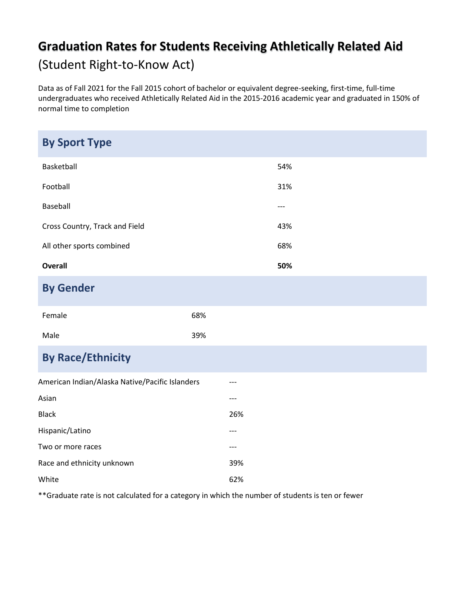## **Graduation Rates for Students Receiving Athletically Related Aid**  (Student Right-to-Know Act)

Data as of Fall 2021 for the Fall 2015 cohort of bachelor or equivalent degree-seeking, first-time, full-time undergraduates who received Athletically Related Aid in the 2015-2016 academic year and graduated in 150% of normal time to completion

| <b>By Sport Type</b>                            |     |     |       |
|-------------------------------------------------|-----|-----|-------|
| Basketball                                      |     |     | 54%   |
| Football                                        |     |     | 31%   |
| Baseball                                        |     |     | $---$ |
| Cross Country, Track and Field                  |     |     | 43%   |
| All other sports combined                       |     |     | 68%   |
| <b>Overall</b>                                  |     |     | 50%   |
| <b>By Gender</b>                                |     |     |       |
| Female                                          | 68% |     |       |
| Male                                            | 39% |     |       |
| <b>By Race/Ethnicity</b>                        |     |     |       |
| American Indian/Alaska Native/Pacific Islanders |     | --- |       |
| Asian                                           |     | --- |       |
| <b>Black</b>                                    |     | 26% |       |
| Hispanic/Latino                                 |     | --- |       |
| Two or more races                               |     | --- |       |
| Race and ethnicity unknown                      |     | 39% |       |
| White                                           |     | 62% |       |

\*\*Graduate rate is not calculated for a category in which the number of students is ten or fewer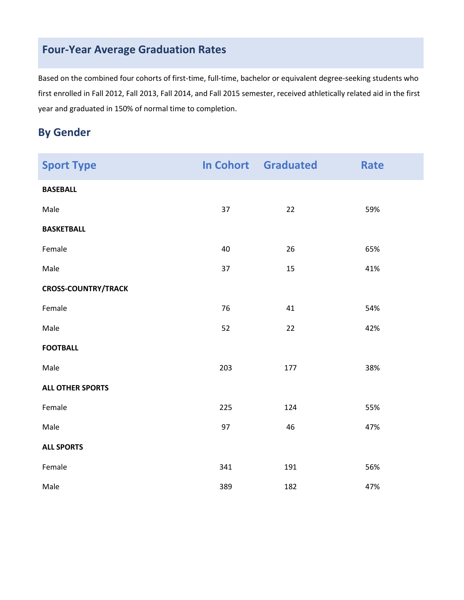## **Four-Year Average Graduation Rates**

Based on the combined four cohorts of first-time, full-time, bachelor or equivalent degree-seeking students who first enrolled in Fall 2012, Fall 2013, Fall 2014, and Fall 2015 semester, received athletically related aid in the first year and graduated in 150% of normal time to completion.

## **By Gender**

| <b>Sport Type</b>          |     | <b>In Cohort</b> Graduated | <b>Rate</b> |
|----------------------------|-----|----------------------------|-------------|
| <b>BASEBALL</b>            |     |                            |             |
| Male                       | 37  | 22                         | 59%         |
| <b>BASKETBALL</b>          |     |                            |             |
| Female                     | 40  | 26                         | 65%         |
| Male                       | 37  | 15                         | 41%         |
| <b>CROSS-COUNTRY/TRACK</b> |     |                            |             |
| Female                     | 76  | 41                         | 54%         |
| Male                       | 52  | 22                         | 42%         |
| <b>FOOTBALL</b>            |     |                            |             |
| Male                       | 203 | 177                        | 38%         |
| <b>ALL OTHER SPORTS</b>    |     |                            |             |
| Female                     | 225 | 124                        | 55%         |
| Male                       | 97  | 46                         | 47%         |
| <b>ALL SPORTS</b>          |     |                            |             |
| Female                     | 341 | 191                        | 56%         |
| Male                       | 389 | 182                        | 47%         |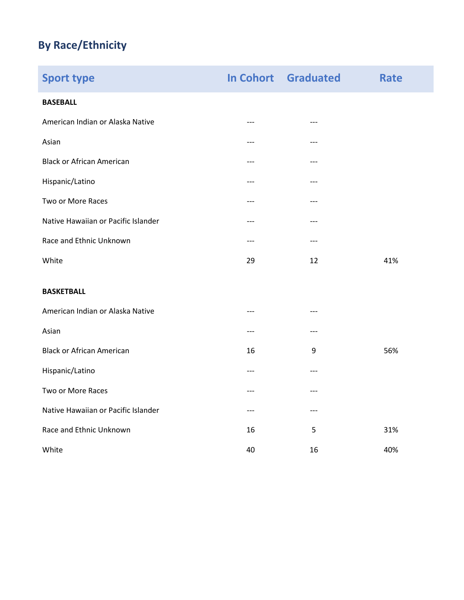## **By Race/Ethnicity**

| <b>Sport type</b>                   |       | <b>In Cohort Graduated</b> | <b>Rate</b> |
|-------------------------------------|-------|----------------------------|-------------|
| <b>BASEBALL</b>                     |       |                            |             |
| American Indian or Alaska Native    | $---$ | ---                        |             |
| Asian                               | ---   | ---                        |             |
| <b>Black or African American</b>    | ---   | ---                        |             |
| Hispanic/Latino                     | ---   | ---                        |             |
| Two or More Races                   | ---   | ---                        |             |
| Native Hawaiian or Pacific Islander | ---   | ---                        |             |
| Race and Ethnic Unknown             | ---   | ---                        |             |
| White                               | 29    | 12                         | 41%         |
| <b>BASKETBALL</b>                   |       |                            |             |
| American Indian or Alaska Native    | ---   | ---                        |             |
| Asian                               | ---   | ---                        |             |
| <b>Black or African American</b>    | 16    | 9                          | 56%         |
| Hispanic/Latino                     | ---   | ---                        |             |
| Two or More Races                   | ---   | ---                        |             |
| Native Hawaiian or Pacific Islander | ---   | ---                        |             |
| Race and Ethnic Unknown             | 16    | 5                          | 31%         |
| White                               | 40    | 16                         | 40%         |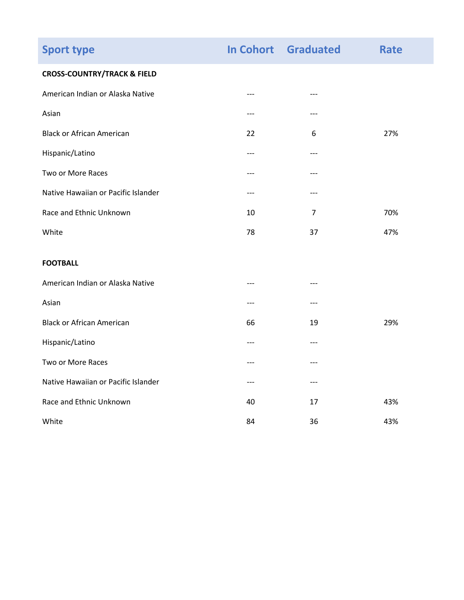| <b>Sport type</b>                      |       | <b>In Cohort Graduated</b> | Rate |
|----------------------------------------|-------|----------------------------|------|
| <b>CROSS-COUNTRY/TRACK &amp; FIELD</b> |       |                            |      |
| American Indian or Alaska Native       | $---$ | $---$                      |      |
| Asian                                  | ---   | ---                        |      |
| <b>Black or African American</b>       | 22    | 6                          | 27%  |
| Hispanic/Latino                        | $---$ | $---$                      |      |
| Two or More Races                      | ---   | $---$                      |      |
| Native Hawaiian or Pacific Islander    | $---$ | $---$                      |      |
| Race and Ethnic Unknown                | 10    | $\overline{7}$             | 70%  |
| White                                  | 78    | 37                         | 47%  |
| <b>FOOTBALL</b>                        |       |                            |      |
| American Indian or Alaska Native       | ---   | $---$                      |      |
| Asian                                  | ---   | $---$                      |      |
| <b>Black or African American</b>       | 66    | 19                         | 29%  |
| Hispanic/Latino                        | ---   | $---$                      |      |
| Two or More Races                      | ---   | $---$                      |      |
| Native Hawaiian or Pacific Islander    |       | ---                        |      |
| Race and Ethnic Unknown                | 40    | 17                         | 43%  |
| White                                  | 84    | 36                         | 43%  |